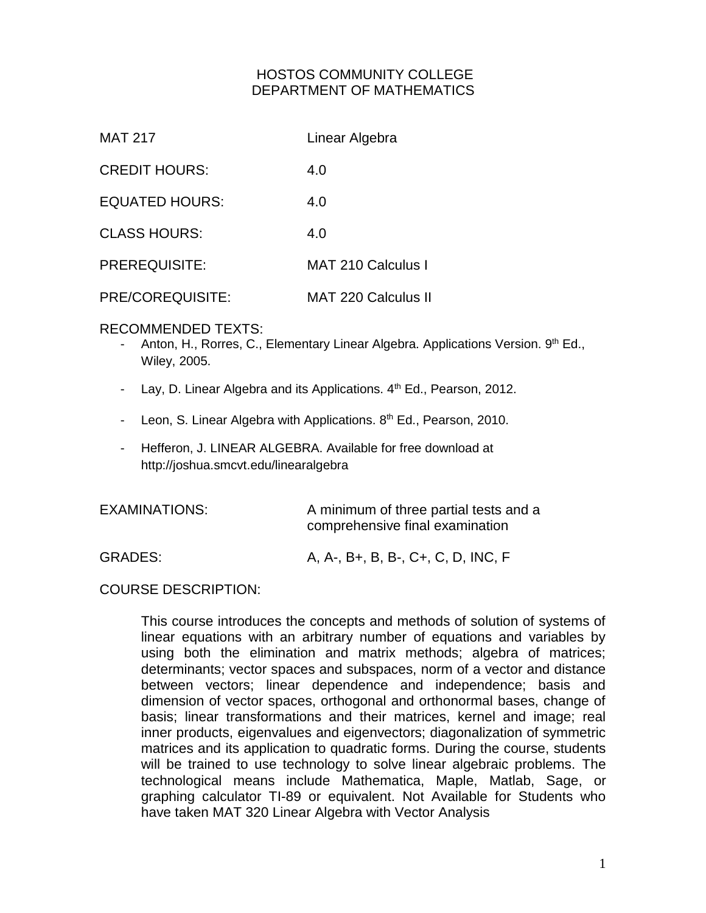#### HOSTOS COMMUNITY COLLEGE DEPARTMENT OF MATHEMATICS

| MAT 217               | Linear Algebra             |
|-----------------------|----------------------------|
| <b>CREDIT HOURS:</b>  | 4.0                        |
| <b>EQUATED HOURS:</b> | 4.0                        |
| <b>CLASS HOURS:</b>   | 4.O                        |
| <b>PREREQUISITE:</b>  | <b>MAT 210 Calculus I</b>  |
| PRE/COREQUISITE:      | <b>MAT 220 Calculus II</b> |

#### RECOMMENDED TEXTS:

- Anton, H., Rorres, C., Elementary Linear Algebra. Applications Version. 9th Ed., Wiley, 2005.
- Lay, D. Linear Algebra and its Applications.  $4<sup>th</sup>$  Ed., Pearson, 2012.
- Leon, S. Linear Algebra with Applications. 8<sup>th</sup> Ed., Pearson, 2010.
- Hefferon, J. LINEAR ALGEBRA. Available for free download at http://joshua.smcvt.edu/linearalgebra

| EXAMINATIONS:  | A minimum of three partial tests and a<br>comprehensive final examination |
|----------------|---------------------------------------------------------------------------|
| <b>GRADES:</b> | A, A-, B+, B, B-, C+, C, D, INC, F                                        |

#### COURSE DESCRIPTION:

This course introduces the concepts and methods of solution of systems of linear equations with an arbitrary number of equations and variables by using both the elimination and matrix methods; algebra of matrices; determinants; vector spaces and subspaces, norm of a vector and distance between vectors; linear dependence and independence; basis and dimension of vector spaces, orthogonal and orthonormal bases, change of basis; linear transformations and their matrices, kernel and image; real inner products, eigenvalues and eigenvectors; diagonalization of symmetric matrices and its application to quadratic forms. During the course, students will be trained to use technology to solve linear algebraic problems. The technological means include Mathematica, Maple, Matlab, Sage, or graphing calculator TI-89 or equivalent. Not Available for Students who have taken MAT 320 Linear Algebra with Vector Analysis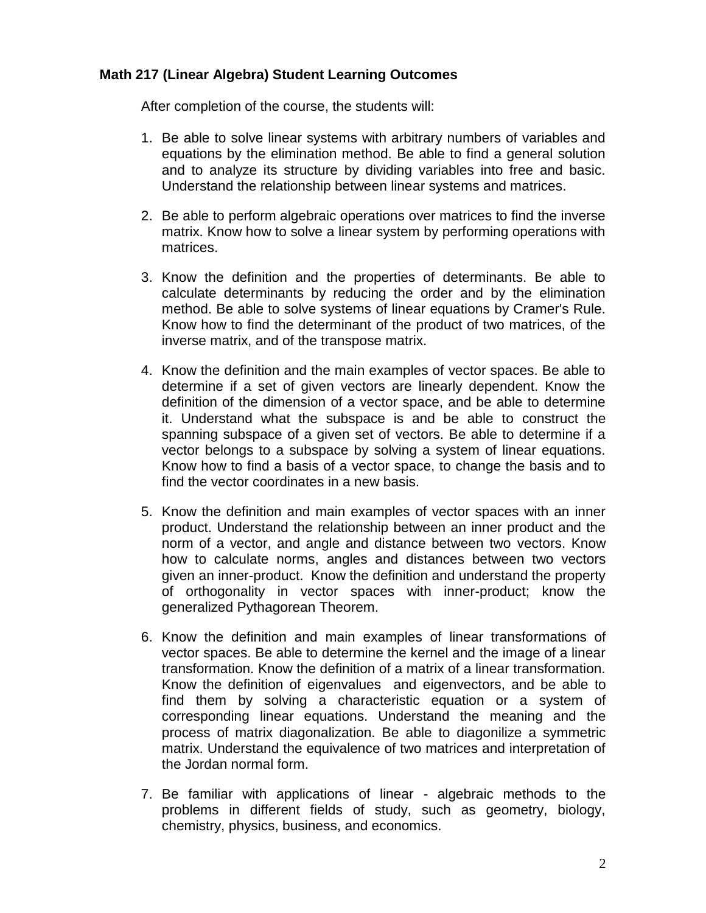#### **Math 217 (Linear Algebra) Student Learning Outcomes**

After completion of the course, the students will:

- 1. Be able to solve linear systems with arbitrary numbers of variables and equations by the elimination method. Be able to find a general solution and to analyze its structure by dividing variables into free and basic. Understand the relationship between linear systems and matrices.
- 2. Be able to perform algebraic operations over matrices to find the inverse matrix. Know how to solve a linear system by performing operations with matrices.
- 3. Know the definition and the properties of determinants. Be able to calculate determinants by reducing the order and by the elimination method. Be able to solve systems of linear equations by Cramer's Rule. Know how to find the determinant of the product of two matrices, of the inverse matrix, and of the transpose matrix.
- 4. Know the definition and the main examples of vector spaces. Be able to determine if a set of given vectors are linearly dependent. Know the definition of the dimension of a vector space, and be able to determine it. Understand what the subspace is and be able to construct the spanning subspace of a given set of vectors. Be able to determine if a vector belongs to a subspace by solving a system of linear equations. Know how to find a basis of a vector space, to change the basis and to find the vector coordinates in a new basis.
- 5. Know the definition and main examples of vector spaces with an inner product. Understand the relationship between an inner product and the norm of a vector, and angle and distance between two vectors. Know how to calculate norms, angles and distances between two vectors given an inner-product. Know the definition and understand the property of orthogonality in vector spaces with inner-product; know the generalized Pythagorean Theorem.
- 6. Know the definition and main examples of linear transformations of vector spaces. Be able to determine the kernel and the image of a linear transformation. Know the definition of a matrix of a linear transformation. Know the definition of eigenvalues and eigenvectors, and be able to find them by solving a characteristic equation or a system of corresponding linear equations. Understand the meaning and the process of matrix diagonalization. Be able to diagonilize a symmetric matrix. Understand the equivalence of two matrices and interpretation of the Jordan normal form.
- 7. Be familiar with applications of linear algebraic methods to the problems in different fields of study, such as geometry, biology, chemistry, physics, business, and economics.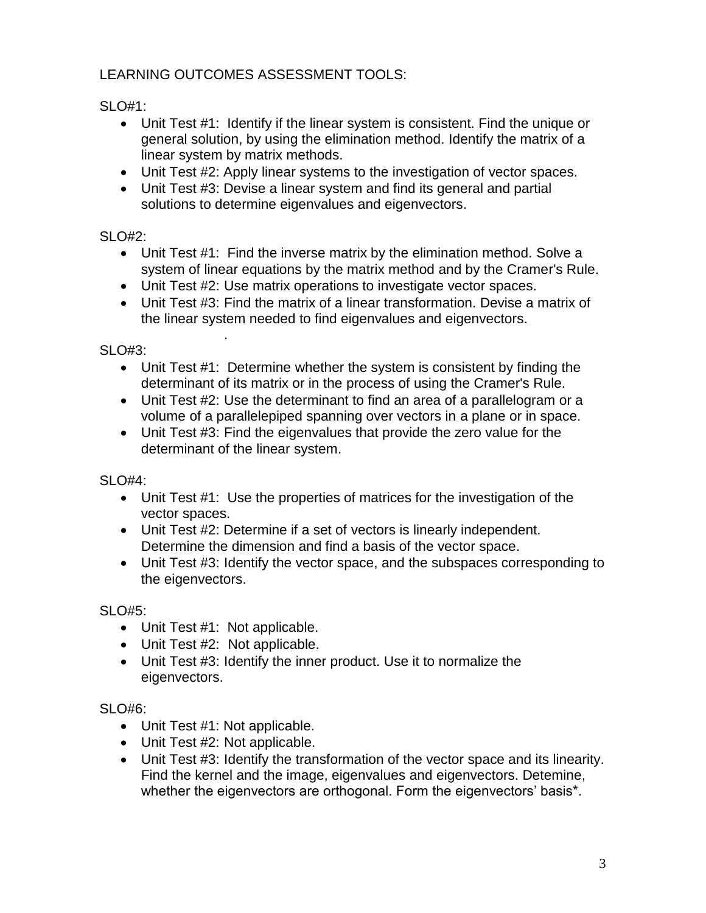## LEARNING OUTCOMES ASSESSMENT TOOLS:

SLO#1:

- Unit Test #1: Identify if the linear system is consistent. Find the unique or general solution, by using the elimination method. Identify the matrix of a linear system by matrix methods.
- Unit Test #2: Apply linear systems to the investigation of vector spaces.
- Unit Test #3: Devise a linear system and find its general and partial solutions to determine eigenvalues and eigenvectors.

## SLO#2:

- Unit Test #1: Find the inverse matrix by the elimination method. Solve a system of linear equations by the matrix method and by the Cramer's Rule.
- Unit Test #2: Use matrix operations to investigate vector spaces.
- Unit Test #3: Find the matrix of a linear transformation. Devise a matrix of the linear system needed to find eigenvalues and eigenvectors.

## SLO#3:

- Unit Test #1: Determine whether the system is consistent by finding the determinant of its matrix or in the process of using the Cramer's Rule.
- Unit Test #2: Use the determinant to find an area of a parallelogram or a volume of a parallelepiped spanning over vectors in a plane or in space.
- Unit Test #3: Find the eigenvalues that provide the zero value for the determinant of the linear system.

SLO#4:

- Unit Test #1: Use the properties of matrices for the investigation of the vector spaces.
- Unit Test #2: Determine if a set of vectors is linearly independent. Determine the dimension and find a basis of the vector space.
- Unit Test #3: Identify the vector space, and the subspaces corresponding to the eigenvectors.

SLO#5:

• Unit Test #1: Not applicable.

.

- Unit Test #2: Not applicable.
- Unit Test #3: Identify the inner product. Use it to normalize the eigenvectors.

### SLO#6:

- Unit Test #1: Not applicable.
- Unit Test #2: Not applicable.
- Unit Test #3: Identify the transformation of the vector space and its linearity. Find the kernel and the image, eigenvalues and eigenvectors. Detemine, whether the eigenvectors are orthogonal. Form the eigenvectors' basis\*.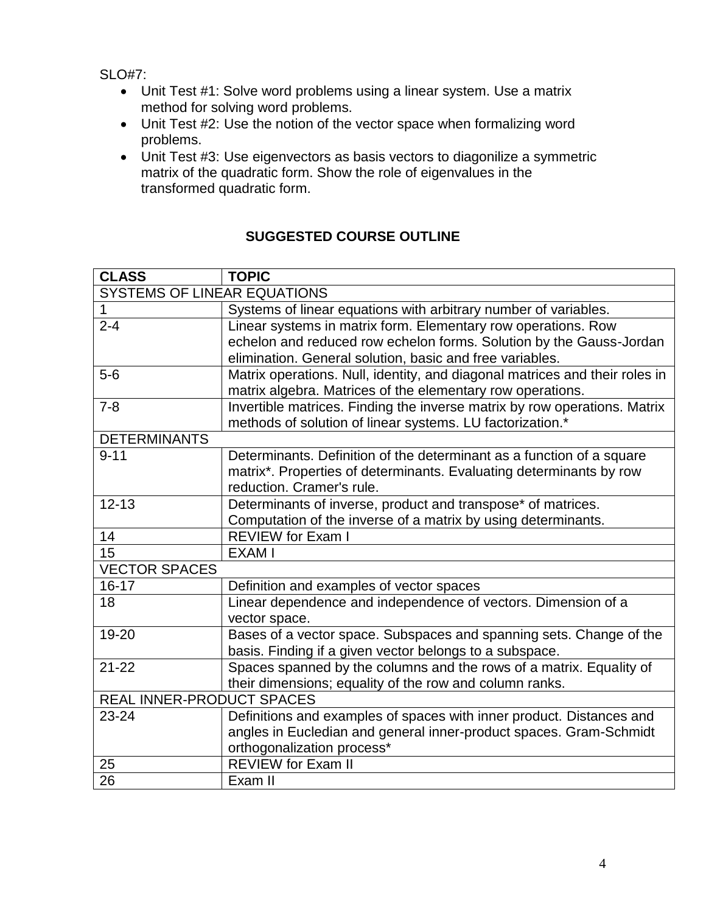SLO#7:

- Unit Test #1: Solve word problems using a linear system. Use a matrix method for solving word problems.
- Unit Test #2: Use the notion of the vector space when formalizing word problems.
- Unit Test #3: Use eigenvectors as basis vectors to diagonilize a symmetric matrix of the quadratic form. Show the role of eigenvalues in the transformed quadratic form.

# **SUGGESTED COURSE OUTLINE**

| <b>CLASS</b>                       | <b>TOPIC</b>                                                                |  |
|------------------------------------|-----------------------------------------------------------------------------|--|
| <b>SYSTEMS OF LINEAR EQUATIONS</b> |                                                                             |  |
| 1                                  | Systems of linear equations with arbitrary number of variables.             |  |
| $2 - 4$                            | Linear systems in matrix form. Elementary row operations. Row               |  |
|                                    | echelon and reduced row echelon forms. Solution by the Gauss-Jordan         |  |
|                                    | elimination. General solution, basic and free variables.                    |  |
| $5-6$                              | Matrix operations. Null, identity, and diagonal matrices and their roles in |  |
|                                    | matrix algebra. Matrices of the elementary row operations.                  |  |
| $7 - 8$                            | Invertible matrices. Finding the inverse matrix by row operations. Matrix   |  |
|                                    | methods of solution of linear systems. LU factorization.*                   |  |
| <b>DETERMINANTS</b>                |                                                                             |  |
| $9 - 11$                           | Determinants. Definition of the determinant as a function of a square       |  |
|                                    | matrix*. Properties of determinants. Evaluating determinants by row         |  |
|                                    | reduction. Cramer's rule.                                                   |  |
| $12 - 13$                          | Determinants of inverse, product and transpose* of matrices.                |  |
|                                    | Computation of the inverse of a matrix by using determinants.               |  |
| 14                                 | <b>REVIEW for Exam I</b>                                                    |  |
| 15                                 | <b>EXAM I</b>                                                               |  |
| <b>VECTOR SPACES</b>               |                                                                             |  |
| $16 - 17$                          | Definition and examples of vector spaces                                    |  |
| 18                                 | Linear dependence and independence of vectors. Dimension of a               |  |
|                                    | vector space.                                                               |  |
| 19-20                              | Bases of a vector space. Subspaces and spanning sets. Change of the         |  |
|                                    | basis. Finding if a given vector belongs to a subspace.                     |  |
| $21 - 22$                          | Spaces spanned by the columns and the rows of a matrix. Equality of         |  |
|                                    | their dimensions; equality of the row and column ranks.                     |  |
| <b>REAL INNER-PRODUCT SPACES</b>   |                                                                             |  |
| 23-24                              | Definitions and examples of spaces with inner product. Distances and        |  |
|                                    | angles in Eucledian and general inner-product spaces. Gram-Schmidt          |  |
|                                    | orthogonalization process*                                                  |  |
| 25                                 | <b>REVIEW for Exam II</b>                                                   |  |
| 26                                 | Exam II                                                                     |  |